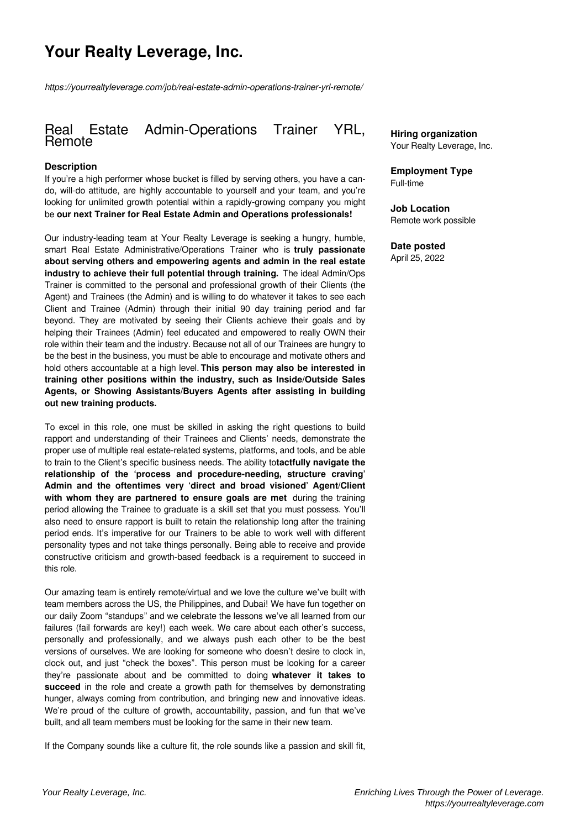# **Your Realty Leverage, Inc.**

*https://yourrealtyleverage.com/job/real-estate-admin-operations-trainer-yrl-remote/*

# Real Estate Admin-Operations Trainer YRL, Remote

#### **Description**

If you're a high performer whose bucket is filled by serving others, you have a cando, will-do attitude, are highly accountable to yourself and your team, and you're looking for unlimited growth potential within a rapidly-growing company you might be **our next Trainer for Real Estate Admin and Operations professionals!**

Our industry-leading team at Your Realty Leverage is seeking a hungry, humble, smart Real Estate Administrative/Operations Trainer who is **truly passionate about serving others and empowering agents and admin in the real estate industry to achieve their full potential through training.** The ideal Admin/Ops Trainer is committed to the personal and professional growth of their Clients (the Agent) and Trainees (the Admin) and is willing to do whatever it takes to see each Client and Trainee (Admin) through their initial 90 day training period and far beyond. They are motivated by seeing their Clients achieve their goals and by helping their Trainees (Admin) feel educated and empowered to really OWN their role within their team and the industry. Because not all of our Trainees are hungry to be the best in the business, you must be able to encourage and motivate others and hold others accountable at a high level. **This person may also be interested in training other positions within the industry, such as Inside/Outside Sales Agents, or Showing Assistants/Buyers Agents after assisting in building out new training products.**

To excel in this role, one must be skilled in asking the right questions to build rapport and understanding of their Trainees and Clients' needs, demonstrate the proper use of multiple real estate-related systems, platforms, and tools, and be able to train to the Client's specific business needs. The ability to**tactfully navigate the relationship of the 'process and procedure-needing, structure craving' Admin and the oftentimes very 'direct and broad visioned' Agent/Client with whom they are partnered to ensure goals are met** during the training period allowing the Trainee to graduate is a skill set that you must possess. You'll also need to ensure rapport is built to retain the relationship long after the training period ends. It's imperative for our Trainers to be able to work well with different personality types and not take things personally. Being able to receive and provide constructive criticism and growth-based feedback is a requirement to succeed in this role.

Our amazing team is entirely remote/virtual and we love the culture we've built with team members across the US, the Philippines, and Dubai! We have fun together on our daily Zoom "standups" and we celebrate the lessons we've all learned from our failures (fail forwards are key!) each week. We care about each other's success, personally and professionally, and we always push each other to be the best versions of ourselves. We are looking for someone who doesn't desire to clock in, clock out, and just "check the boxes". This person must be looking for a career they're passionate about and be committed to doing **whatever it takes to succeed** in the role and create a growth path for themselves by demonstrating hunger, always coming from contribution, and bringing new and innovative ideas. We're proud of the culture of growth, accountability, passion, and fun that we've built, and all team members must be looking for the same in their new team.

If the Company sounds like a culture fit, the role sounds like a passion and skill fit,

**Hiring organization** Your Realty Leverage, Inc.

**Employment Type** Full-time

**Job Location** Remote work possible

## **Date posted**

April 25, 2022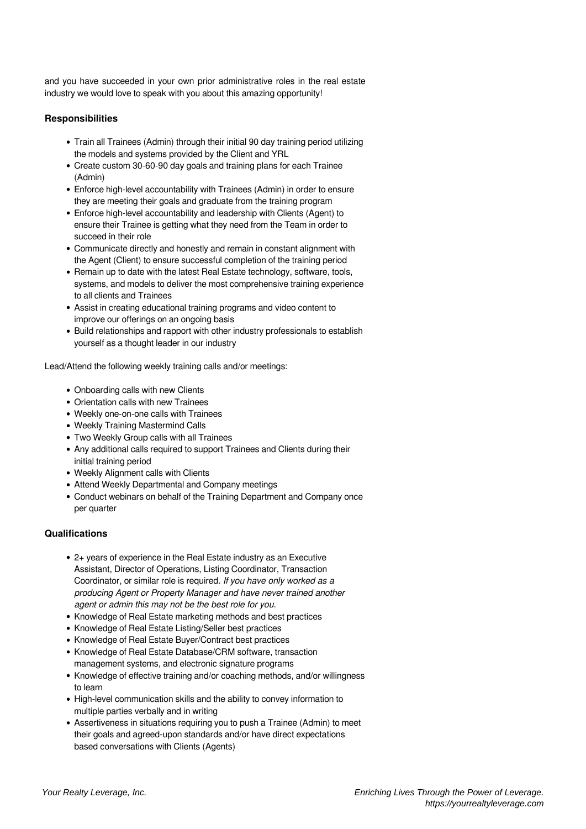and you have succeeded in your own prior administrative roles in the real estate industry we would love to speak with you about this amazing opportunity!

#### **Responsibilities**

- Train all Trainees (Admin) through their initial 90 day training period utilizing the models and systems provided by the Client and YRL
- Create custom 30-60-90 day goals and training plans for each Trainee (Admin)
- Enforce high-level accountability with Trainees (Admin) in order to ensure they are meeting their goals and graduate from the training program
- Enforce high-level accountability and leadership with Clients (Agent) to ensure their Trainee is getting what they need from the Team in order to succeed in their role
- Communicate directly and honestly and remain in constant alignment with the Agent (Client) to ensure successful completion of the training period
- Remain up to date with the latest Real Estate technology, software, tools, systems, and models to deliver the most comprehensive training experience to all clients and Trainees
- Assist in creating educational training programs and video content to improve our offerings on an ongoing basis
- Build relationships and rapport with other industry professionals to establish yourself as a thought leader in our industry

Lead/Attend the following weekly training calls and/or meetings:

- Onboarding calls with new Clients
- Orientation calls with new Trainees
- Weekly one-on-one calls with Trainees
- Weekly Training Mastermind Calls
- Two Weekly Group calls with all Trainees
- Any additional calls required to support Trainees and Clients during their initial training period
- Weekly Alignment calls with Clients
- Attend Weekly Departmental and Company meetings
- Conduct webinars on behalf of the Training Department and Company once per quarter

### **Qualifications**

- 2+ years of experience in the Real Estate industry as an Executive Assistant, Director of Operations, Listing Coordinator, Transaction Coordinator, or similar role is required. *If you have only worked as a producing Agent or Property Manager and have never trained another agent or admin this may not be the best role for you.*
- Knowledge of Real Estate marketing methods and best practices
- Knowledge of Real Estate Listing/Seller best practices
- Knowledge of Real Estate Buyer/Contract best practices
- Knowledge of Real Estate Database/CRM software, transaction management systems, and electronic signature programs
- Knowledge of effective training and/or coaching methods, and/or willingness to learn
- High-level communication skills and the ability to convey information to multiple parties verbally and in writing
- Assertiveness in situations requiring you to push a Trainee (Admin) to meet their goals and agreed-upon standards and/or have direct expectations based conversations with Clients (Agents)